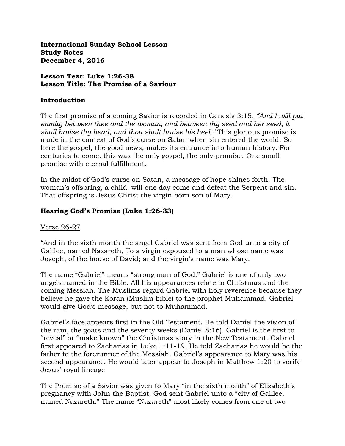**International Sunday School Lesson Study Notes December 4, 2016**

**Lesson Text: Luke 1:26-38 Lesson Title: The Promise of a Saviour**

#### **Introduction**

The first promise of a coming Savior is recorded in Genesis 3:15, *"And I will put enmity between thee and the woman, and between thy seed and her seed; it shall bruise thy head, and thou shalt bruise his heel."* This glorious promise is made in the context of God's curse on Satan when sin entered the world. So here the gospel, the good news, makes its entrance into human history. For centuries to come, this was the only gospel, the only promise. One small promise with eternal fulfillment.

In the midst of God's curse on Satan, a message of hope shines forth. The woman's offspring, a child, will one day come and defeat the Serpent and sin. That offspring is Jesus Christ the virgin born son of Mary.

### **Hearing God's Promise (Luke 1:26-33)**

### Verse 26-27

"And in the sixth month the angel Gabriel was sent from God unto a city of Galilee, named Nazareth, To a virgin espoused to a man whose name was Joseph, of the house of David; and the virgin's name was Mary.

The name "Gabriel" means "strong man of God." Gabriel is one of only two angels named in the Bible. All his appearances relate to Christmas and the coming Messiah. The Muslims regard Gabriel with holy reverence because they believe he gave the Koran (Muslim bible) to the prophet Muhammad. Gabriel would give God's message, but not to Muhammad.

Gabriel's face appears first in the Old Testament. He told Daniel the vision of the ram, the goats and the seventy weeks (Daniel 8:16). Gabriel is the first to "reveal" or "make known" the Christmas story in the New Testament. Gabriel first appeared to Zacharias in Luke 1:11-19. He told Zacharias he would be the father to the forerunner of the Messiah. Gabriel's appearance to Mary was his second appearance. He would later appear to Joseph in Matthew 1:20 to verify Jesus' royal lineage.

The Promise of a Savior was given to Mary "in the sixth month" of Elizabeth's pregnancy with John the Baptist. God sent Gabriel unto a "city of Galilee, named Nazareth." The name "Nazareth" most likely comes from one of two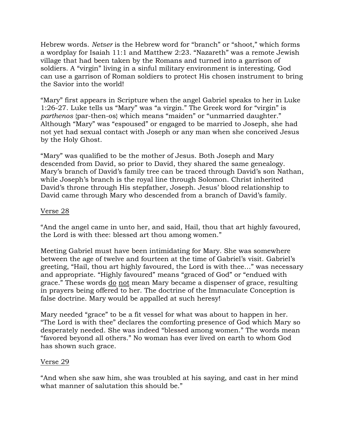Hebrew words. *Netser* is the Hebrew word for "branch" or "shoot," which forms a wordplay for Isaiah 11:1 and Matthew 2:23. "Nazareth" was a remote Jewish village that had been taken by the Romans and turned into a garrison of soldiers. A "virgin" living in a sinful military environment is interesting. God can use a garrison of Roman soldiers to protect His chosen instrument to bring the Savior into the world!

"Mary" first appears in Scripture when the angel Gabriel speaks to her in Luke 1:26-27. Luke tells us "Mary" was "a virgin." The Greek word for "virgin" is *parthenos* {par-then-os} which means "maiden" or "unmarried daughter." Although "Mary" was "espoused" or engaged to be married to Joseph, she had not yet had sexual contact with Joseph or any man when she conceived Jesus by the Holy Ghost.

"Mary" was qualified to be the mother of Jesus. Both Joseph and Mary descended from David, so prior to David, they shared the same genealogy. Mary's branch of David's family tree can be traced through David's son Nathan, while Joseph's branch is the royal line through Solomon. Christ inherited David's throne through His stepfather, Joseph. Jesus' blood relationship to David came through Mary who descended from a branch of David's family.

## Verse 28

"And the angel came in unto her, and said, Hail, thou that art highly favoured, the Lord is with thee: blessed art thou among women."

Meeting Gabriel must have been intimidating for Mary. She was somewhere between the age of twelve and fourteen at the time of Gabriel's visit. Gabriel's greeting, "Hail, thou art highly favoured, the Lord is with thee…" was necessary and appropriate. "Highly favoured" means "graced of God" or "endued with grace." These words do not mean Mary became a dispenser of grace, resulting in prayers being offered to her. The doctrine of the Immaculate Conception is false doctrine. Mary would be appalled at such heresy!

Mary needed "grace" to be a fit vessel for what was about to happen in her. "The Lord is with thee" declares the comforting presence of God which Mary so desperately needed. She was indeed "blessed among women." The words mean "favored beyond all others." No woman has ever lived on earth to whom God has shown such grace.

## Verse 29

"And when she saw him, she was troubled at his saying, and cast in her mind what manner of salutation this should be."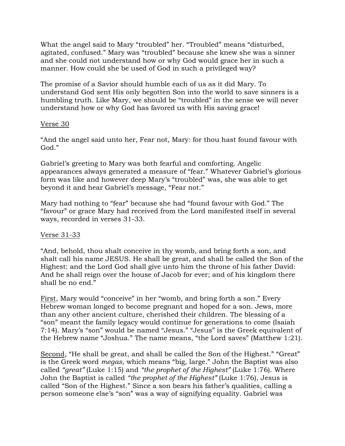What the angel said to Mary "troubled" her. "Troubled" means "disturbed, agitated, confused." Mary was "troubled" because she knew she was a sinner and she could not understand how or why God would grace her in such a manner. How could she be used of God in such a privileged way?

The promise of a Savior should humble each of us as it did Mary. To understand God sent His only begotten Son into the world to save sinners is a humbling truth. Like Mary, we should be "troubled" in the sense we will never understand how or why God has favored us with His saving grace!

#### Verse 30

"And the angel said unto her, Fear not, Mary: for thou hast found favour with God."

Gabriel's greeting to Mary was both fearful and comforting. Angelic appearances always generated a measure of "fear." Whatever Gabriel's glorious form was like and however deep Mary's "troubled" was, she was able to get beyond it and hear Gabriel's message, "Fear not."

Mary had nothing to "fear" because she had "found favour with God." The "favour" or grace Mary had received from the Lord manifested itself in several ways, recorded in verses 31-33.

### Verse 31-33

"And, behold, thou shalt conceive in thy womb, and bring forth a son, and shalt call his name JESUS. He shall be great, and shall be called the Son of the Highest: and the Lord God shall give unto him the throne of his father David: And he shall reign over the house of Jacob for ever; and of his kingdom there shall be no end."

First, Mary would "conceive" in her "womb, and bring forth a son." Every Hebrew woman longed to become pregnant and hoped for a son. Jews, more than any other ancient culture, cherished their children. The blessing of a "son" meant the family legacy would continue for generations to come (Isaiah 7:14). Mary's "son" would be named "Jesus." "Jesus" is the Greek equivalent of the Hebrew name "Joshua." The name means, "the Lord saves" (Matthew 1:21).

Second, "He shall be great, and shall be called the Son of the Highest." "Great" is the Greek word *megas,* which means "big, large." John the Baptist was also called *"great"* (Luke 1:15) and *"the prophet of the Highest"* (Luke 1:76). Where John the Baptist is called *"the prophet of the Highest"* (Luke 1:76), Jesus is called "Son of the Highest." Since a son bears his father's qualities, calling a person someone else's "son" was a way of signifying equality. Gabriel was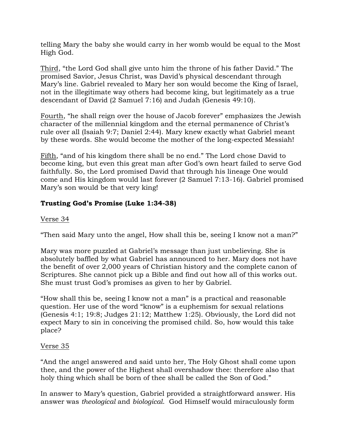telling Mary the baby she would carry in her womb would be equal to the Most High God.

Third, "the Lord God shall give unto him the throne of his father David." The promised Savior, Jesus Christ, was David's physical descendant through Mary's line. Gabriel revealed to Mary her son would become the King of Israel, not in the illegitimate way others had become king, but legitimately as a true descendant of David (2 Samuel 7:16) and Judah (Genesis 49:10).

Fourth, "he shall reign over the house of Jacob forever" emphasizes the Jewish character of the millennial kingdom and the eternal permanence of Christ's rule over all (Isaiah 9:7; Daniel 2:44). Mary knew exactly what Gabriel meant by these words. She would become the mother of the long-expected Messiah!

Fifth, "and of his kingdom there shall be no end." The Lord chose David to become king, but even this great man after God's own heart failed to serve God faithfully. So, the Lord promised David that through his lineage One would come and His kingdom would last forever (2 Samuel 7:13-16). Gabriel promised Mary's son would be that very king!

# **Trusting God's Promise (Luke 1:34-38)**

## Verse 34

"Then said Mary unto the angel, How shall this be, seeing I know not a man?"

Mary was more puzzled at Gabriel's message than just unbelieving. She is absolutely baffled by what Gabriel has announced to her. Mary does not have the benefit of over 2,000 years of Christian history and the complete canon of Scriptures. She cannot pick up a Bible and find out how all of this works out. She must trust God's promises as given to her by Gabriel.

"How shall this be, seeing I know not a man" is a practical and reasonable question. Her use of the word "know" is a euphemism for sexual relations (Genesis 4:1; 19:8; Judges 21:12; Matthew 1:25). Obviously, the Lord did not expect Mary to sin in conceiving the promised child. So, how would this take place?

### Verse 35

"And the angel answered and said unto her, The Holy Ghost shall come upon thee, and the power of the Highest shall overshadow thee: therefore also that holy thing which shall be born of thee shall be called the Son of God."

In answer to Mary's question, Gabriel provided a straightforward answer. His answer was *theological* and *biological*. God Himself would miraculously form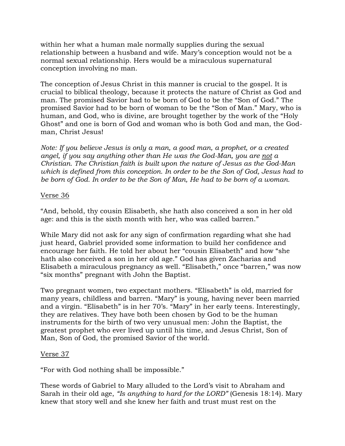within her what a human male normally supplies during the sexual relationship between a husband and wife. Mary's conception would not be a normal sexual relationship. Hers would be a miraculous supernatural conception involving no man.

The conception of Jesus Christ in this manner is crucial to the gospel. It is crucial to biblical theology, because it protects the nature of Christ as God and man. The promised Savior had to be born of God to be the "Son of God." The promised Savior had to be born of woman to be the "Son of Man." Mary, who is human, and God, who is divine, are brought together by the work of the "Holy Ghost" and one is born of God and woman who is both God and man, the Godman, Christ Jesus!

*Note: If you believe Jesus is only a man, a good man, a prophet, or a created angel, if you say anything other than He was the God-Man, you are not a Christian. The Christian faith is built upon the nature of Jesus as the God-Man which is defined from this conception. In order to be the Son of God, Jesus had to be born of God. In order to be the Son of Man, He had to be born of a woman.*

### Verse 36

"And, behold, thy cousin Elisabeth, she hath also conceived a son in her old age: and this is the sixth month with her, who was called barren."

While Mary did not ask for any sign of confirmation regarding what she had just heard, Gabriel provided some information to build her confidence and encourage her faith. He told her about her "cousin Elisabeth" and how "she hath also conceived a son in her old age." God has given Zacharias and Elisabeth a miraculous pregnancy as well. "Elisabeth," once "barren," was now "six months" pregnant with John the Baptist.

Two pregnant women, two expectant mothers. "Elisabeth" is old, married for many years, childless and barren. "Mary" is young, having never been married and a virgin. "Elisabeth" is in her 70's. "Mary" in her early teens. Interestingly, they are relatives. They have both been chosen by God to be the human instruments for the birth of two very unusual men: John the Baptist, the greatest prophet who ever lived up until his time, and Jesus Christ, Son of Man, Son of God, the promised Savior of the world.

### Verse 37

"For with God nothing shall be impossible."

These words of Gabriel to Mary alluded to the Lord's visit to Abraham and Sarah in their old age, *"Is anything to hard for the LORD"* (Genesis 18:14). Mary knew that story well and she knew her faith and trust must rest on the